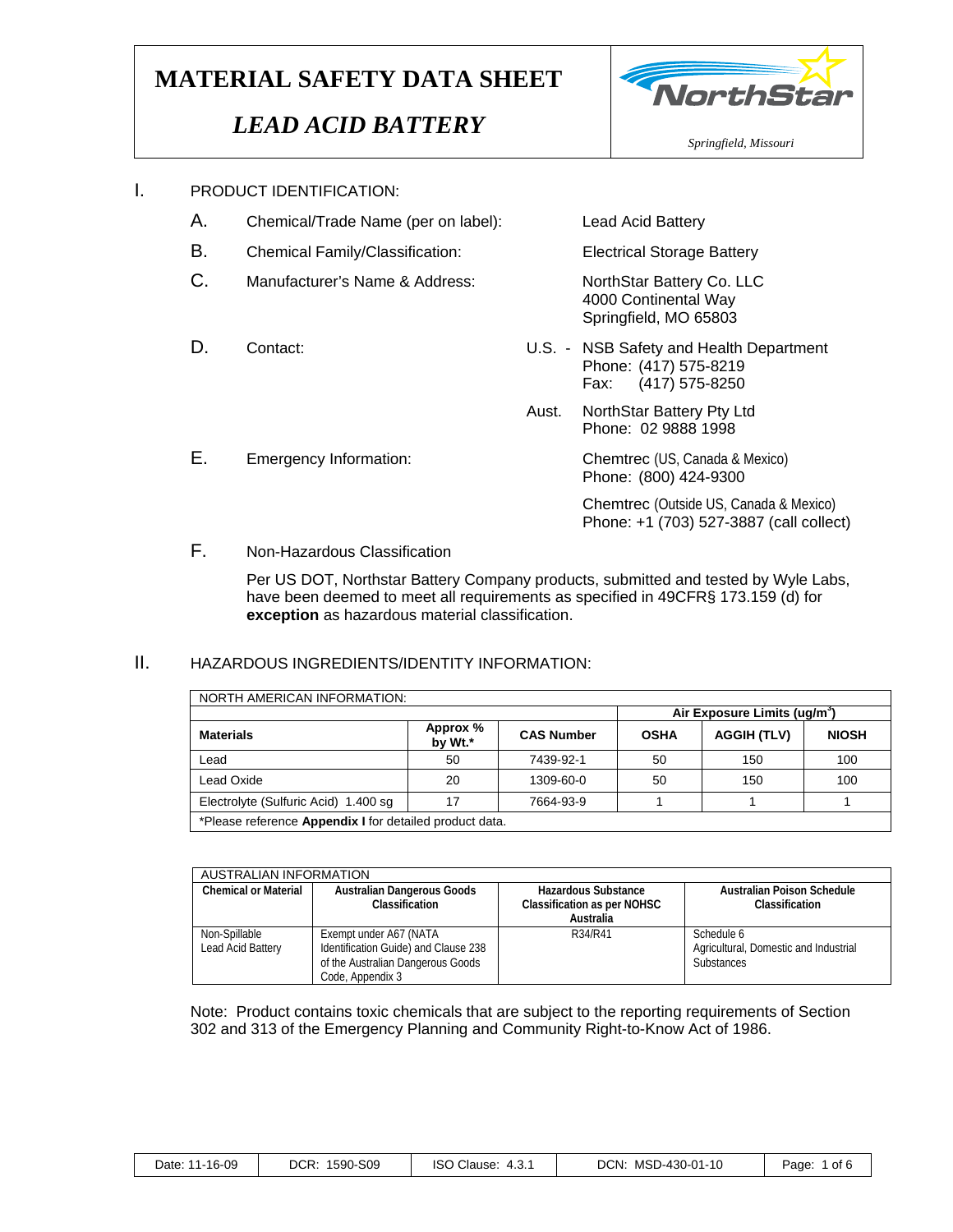### *LEAD ACID BATTERY*



- A. Chemical/Trade Name (per on label): Lead Acid Battery
- B. Chemical Family/Classification: Electrical Storage Battery
- C. Manufacturer's Name & Address: NorthStar Battery Co. LLC
- 

4000 Continental Way Springfield, MO 65803

- D. Contact: U.S. NSB Safety and Health Department Phone: (417) 575-8219 Fax: (417) 575-8250
	- Aust. NorthStar Battery Pty Ltd Phone: 02 9888 1998

E. Emergency Information: Chemtrec (US, Canada & Mexico) Phone: (800) 424-9300

> Chemtrec (Outside US, Canada & Mexico) Phone: +1 (703) 527-3887 (call collect)

F. Non-Hazardous Classification

Per US DOT, Northstar Battery Company products, submitted and tested by Wyle Labs, have been deemed to meet all requirements as specified in 49CFR§ 173.159 (d) for **exception** as hazardous material classification.

#### II. HAZARDOUS INGREDIENTS/IDENTITY INFORMATION:

| <b>NORTH AMERICAN INFORMATION:</b>                             |                                          |                   |             |                    |              |  |  |  |  |  |
|----------------------------------------------------------------|------------------------------------------|-------------------|-------------|--------------------|--------------|--|--|--|--|--|
|                                                                | Air Exposure Limits (ug/m <sup>3</sup> ) |                   |             |                    |              |  |  |  |  |  |
| <b>Materials</b>                                               | Approx %<br>by Wt.*                      | <b>CAS Number</b> | <b>OSHA</b> | <b>AGGIH (TLV)</b> | <b>NIOSH</b> |  |  |  |  |  |
| Lead                                                           | 50                                       | 7439-92-1         | 50          | 150                | 100          |  |  |  |  |  |
| Lead Oxide                                                     | 20                                       | 1309-60-0         | 50          | 150                | 100          |  |  |  |  |  |
| Electrolyte (Sulfuric Acid) 1.400 sq                           | 17                                       | 7664-93-9         |             |                    |              |  |  |  |  |  |
| *Please reference <b>Appendix I</b> for detailed product data. |                                          |                   |             |                    |              |  |  |  |  |  |

AUSTRALIAN INFORMATION **Chemical or Material Australian Dangerous Goods Classification Hazardous Substance Classification as per NOHSC Australia Australian Poison Schedule Classification**  Non-Spillable Lead Acid Battery Exempt under A67 (NATA Identification Guide) and Clause 238 of the Australian Dangerous Goods Code, Appendix 3 Schedule 6 Agricultural, Domestic and Industrial **Substances** 

Note: Product contains toxic chemicals that are subject to the reporting requirements of Section 302 and 313 of the Emergency Planning and Community Right-to-Know Act of 1986.

| Date: 11-16-09 |  |  |
|----------------|--|--|
|----------------|--|--|

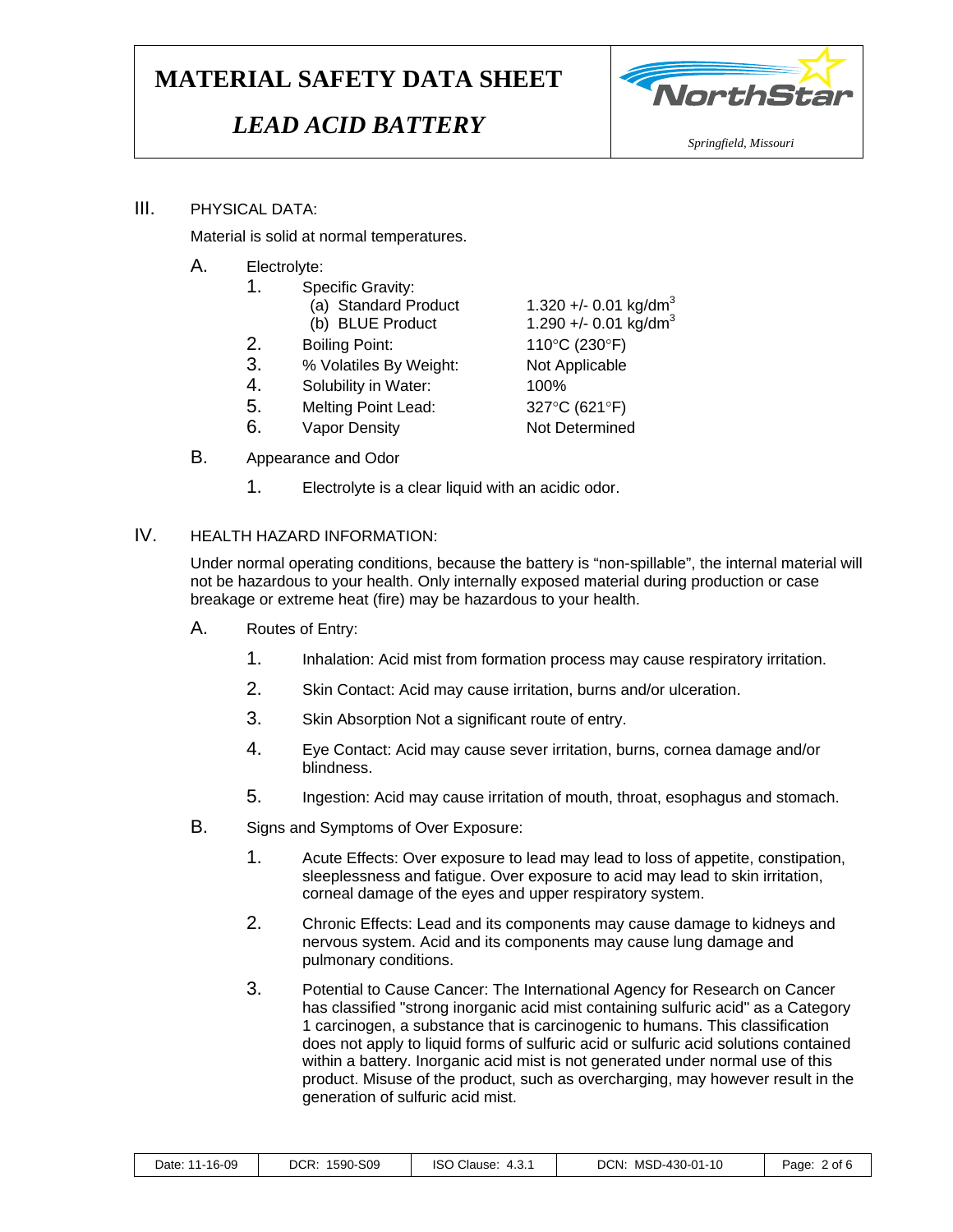# *LEAD ACID BATTERY*



#### III. PHYSICAL DATA:

Material is solid at normal temperatures.

- A. Electrolyte:
	- 1. Specific Gravity:
		- (a) Standard Product  $1.320 +/- 0.01$  kg/dm<sup>3</sup>
	- 2. Boiling Point: 110°C (230°F)
	- 3. % Volatiles By Weight: Not Applicable
	- 4. Solubility in Water: 100%
	- 5. Melting Point Lead: 327°C (621°F)
	- 6. Vapor Density Not Determined
- B. Appearance and Odor
	- 1. Electrolyte is a clear liquid with an acidic odor.

#### IV. HEALTH HAZARD INFORMATION:

Under normal operating conditions, because the battery is "non-spillable", the internal material will not be hazardous to your health. Only internally exposed material during production or case breakage or extreme heat (fire) may be hazardous to your health.

- A. Routes of Entry:
	- 1. Inhalation: Acid mist from formation process may cause respiratory irritation.
	- 2. Skin Contact: Acid may cause irritation, burns and/or ulceration.
	- 3. Skin Absorption Not a significant route of entry.
	- 4. Eye Contact: Acid may cause sever irritation, burns, cornea damage and/or blindness.
	- 5. Ingestion: Acid may cause irritation of mouth, throat, esophagus and stomach.
- B. Signs and Symptoms of Over Exposure:
	- 1. Acute Effects: Over exposure to lead may lead to loss of appetite, constipation, sleeplessness and fatigue. Over exposure to acid may lead to skin irritation, corneal damage of the eyes and upper respiratory system.
	- 2. Chronic Effects: Lead and its components may cause damage to kidneys and nervous system. Acid and its components may cause lung damage and pulmonary conditions.
	- 3. Potential to Cause Cancer: The International Agency for Research on Cancer has classified "strong inorganic acid mist containing sulfuric acid" as a Category 1 carcinogen, a substance that is carcinogenic to humans. This classification does not apply to liquid forms of sulfuric acid or sulfuric acid solutions contained within a battery. Inorganic acid mist is not generated under normal use of this product. Misuse of the product, such as overcharging, may however result in the generation of sulfuric acid mist.

| Date: 11-16-09 | DCR:<br>1590-S09 | O Clause:<br>ISO<br>-4.3. | MSD-430-01-10<br>DCN: | Page<br>2 of 6 |
|----------------|------------------|---------------------------|-----------------------|----------------|
|----------------|------------------|---------------------------|-----------------------|----------------|

(b) BLUE Product  $1.290 +/- 0.01$  kg/dm<sup>3</sup>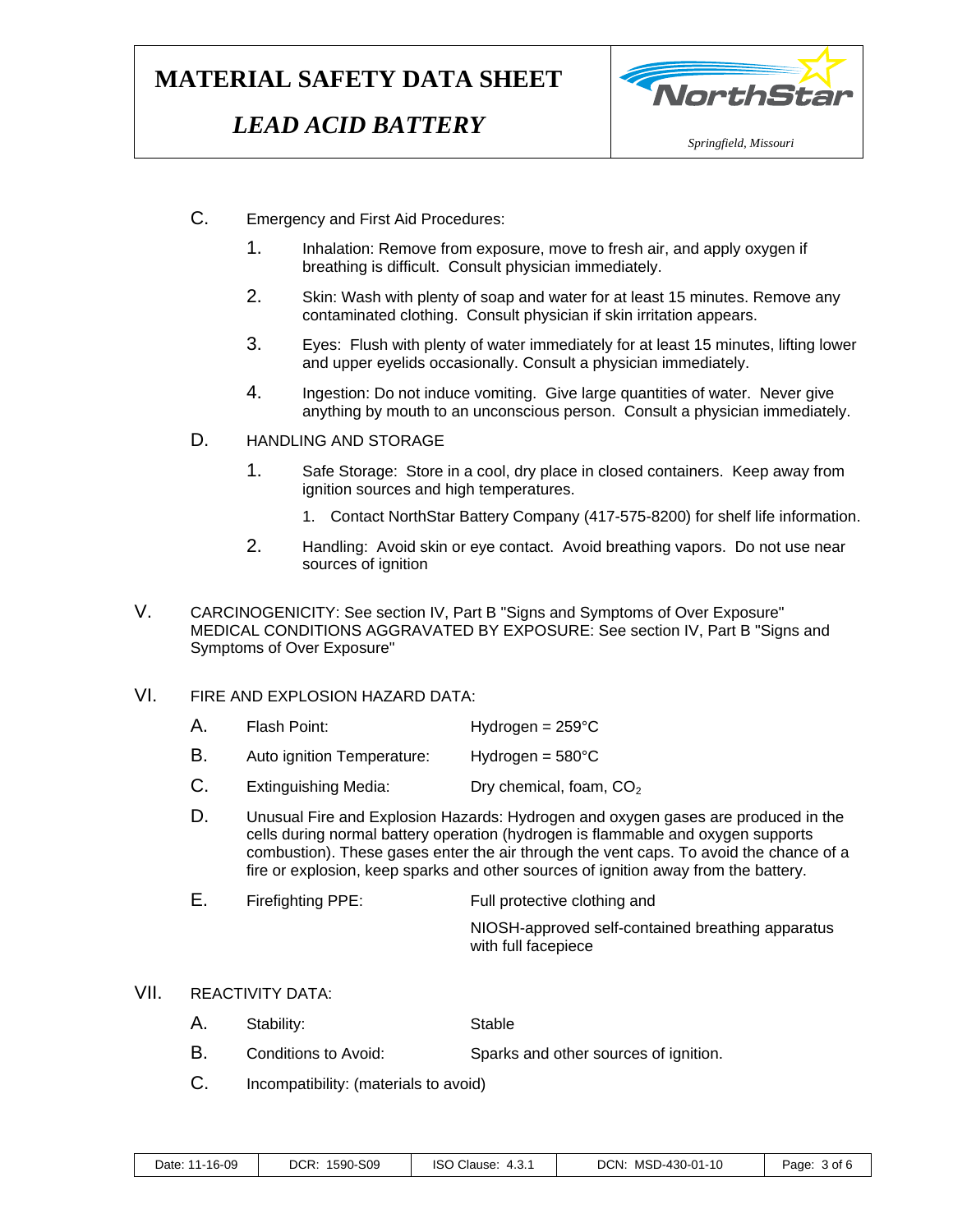## *LEAD ACID BATTERY*



- C. Emergency and First Aid Procedures:
	- 1. Inhalation: Remove from exposure, move to fresh air, and apply oxygen if breathing is difficult. Consult physician immediately.
	- 2. Skin: Wash with plenty of soap and water for at least 15 minutes. Remove any contaminated clothing. Consult physician if skin irritation appears.
	- 3. Eyes: Flush with plenty of water immediately for at least 15 minutes, lifting lower and upper eyelids occasionally. Consult a physician immediately.
	- 4. Ingestion: Do not induce vomiting. Give large quantities of water. Never give anything by mouth to an unconscious person. Consult a physician immediately.

#### D. HANDLING AND STORAGE

- 1. Safe Storage: Store in a cool, dry place in closed containers. Keep away from ignition sources and high temperatures.
	- 1. Contact NorthStar Battery Company (417-575-8200) for shelf life information.
- 2. Handling: Avoid skin or eye contact. Avoid breathing vapors. Do not use near sources of ignition
- V. CARCINOGENICITY: See section IV, Part B "Signs and Symptoms of Over Exposure" MEDICAL CONDITIONS AGGRAVATED BY EXPOSURE: See section IV, Part B "Signs and Symptoms of Over Exposure"

#### VI. FIRE AND EXPLOSION HAZARD DATA:

- A. Flash Point: Hydrogen = 259°C
- B. Auto ignition Temperature: Hydrogen = 580°C
- $C.$  Extinguishing Media: Dry chemical, foam,  $CO<sub>2</sub>$
- D. Unusual Fire and Explosion Hazards: Hydrogen and oxygen gases are produced in the cells during normal battery operation (hydrogen is flammable and oxygen supports combustion). These gases enter the air through the vent caps. To avoid the chance of a fire or explosion, keep sparks and other sources of ignition away from the battery.
- E. Firefighting PPE: Full protective clothing and

NIOSH-approved self-contained breathing apparatus with full facepiece

#### VII. REACTIVITY DATA:

- A. Stability: Stable
- B. Conditions to Avoid: Sparks and other sources of ignition.
- C. Incompatibility: (materials to avoid)

| Date: 11-16-09 | DCR: 1590-S09 | ISO Clause: 4.3.1 | DCN: MSD-430-01-10 | Page: 3 of 6 |
|----------------|---------------|-------------------|--------------------|--------------|
|----------------|---------------|-------------------|--------------------|--------------|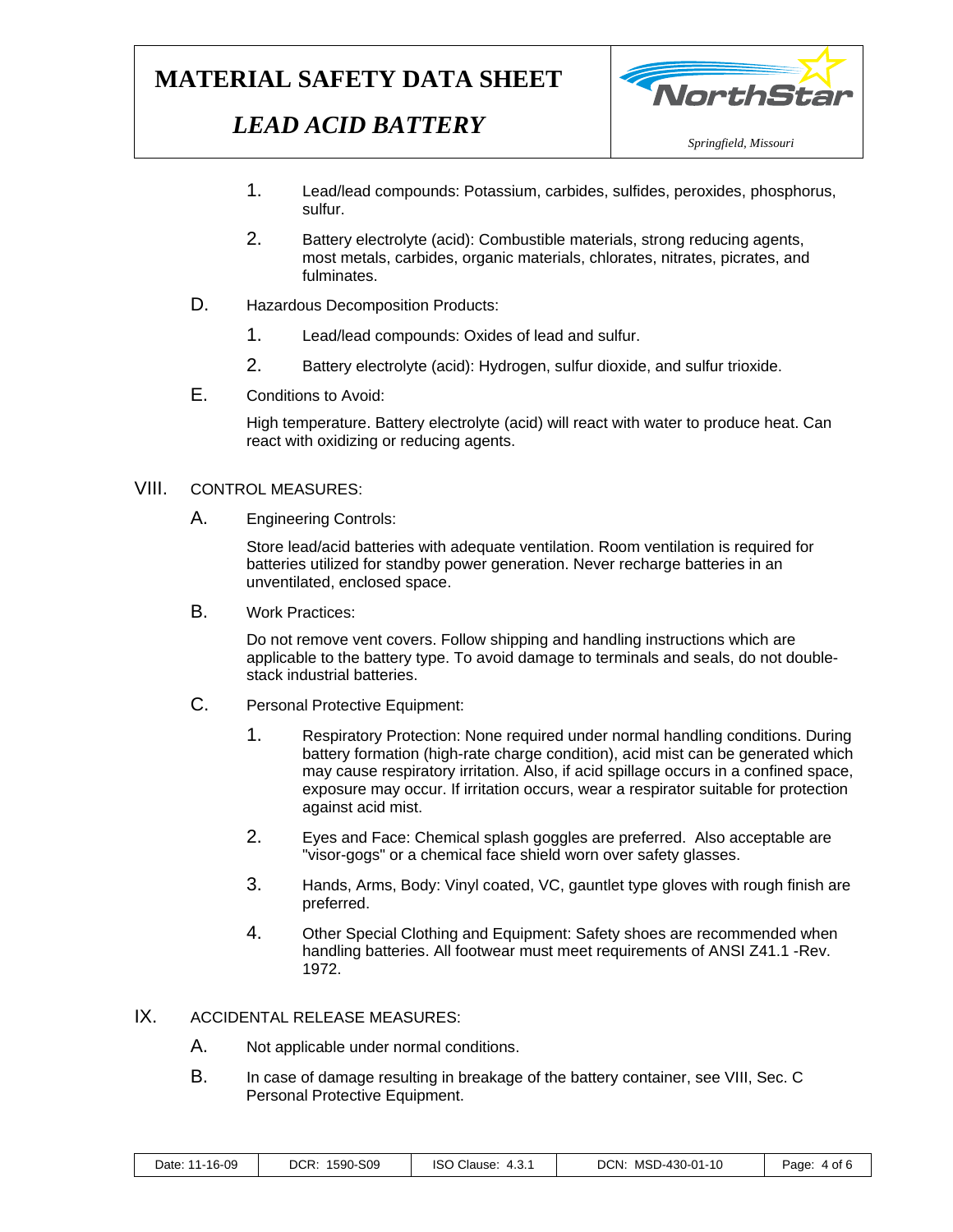# *LEAD ACID BATTERY*



- 1. Lead/lead compounds: Potassium, carbides, sulfides, peroxides, phosphorus, sulfur.
- 2. Battery electrolyte (acid): Combustible materials, strong reducing agents, most metals, carbides, organic materials, chlorates, nitrates, picrates, and fulminates.
- D. Hazardous Decomposition Products:
	- 1. Lead/lead compounds: Oxides of lead and sulfur.
	- 2. Battery electrolyte (acid): Hydrogen, sulfur dioxide, and sulfur trioxide.
- E. Conditions to Avoid:

High temperature. Battery electrolyte (acid) will react with water to produce heat. Can react with oxidizing or reducing agents.

#### VIII. CONTROL MEASURES:

A. Engineering Controls:

Store lead/acid batteries with adequate ventilation. Room ventilation is required for batteries utilized for standby power generation. Never recharge batteries in an unventilated, enclosed space.

B. Work Practices:

Do not remove vent covers. Follow shipping and handling instructions which are applicable to the battery type. To avoid damage to terminals and seals, do not doublestack industrial batteries.

- C. Personal Protective Equipment:
	- 1. Respiratory Protection: None required under normal handling conditions. During battery formation (high-rate charge condition), acid mist can be generated which may cause respiratory irritation. Also, if acid spillage occurs in a confined space, exposure may occur. If irritation occurs, wear a respirator suitable for protection against acid mist.
	- 2. Eyes and Face: Chemical splash goggles are preferred. Also acceptable are "visor-gogs" or a chemical face shield worn over safety glasses.
	- 3. Hands, Arms, Body: Vinyl coated, VC, gauntlet type gloves with rough finish are preferred.
	- 4. Other Special Clothing and Equipment: Safety shoes are recommended when handling batteries. All footwear must meet requirements of ANSI Z41.1 -Rev. 1972.

#### IX. ACCIDENTAL RELEASE MEASURES:

- A. Not applicable under normal conditions.
- B. In case of damage resulting in breakage of the battery container, see VIII, Sec. C Personal Protective Equipment.

| Date: 11-16-09 | DCR: 1590-S09 | ISO Clause: 4.3.1 | DCN: MSD-430-01-10 | Page: 4 of 6 |
|----------------|---------------|-------------------|--------------------|--------------|
|----------------|---------------|-------------------|--------------------|--------------|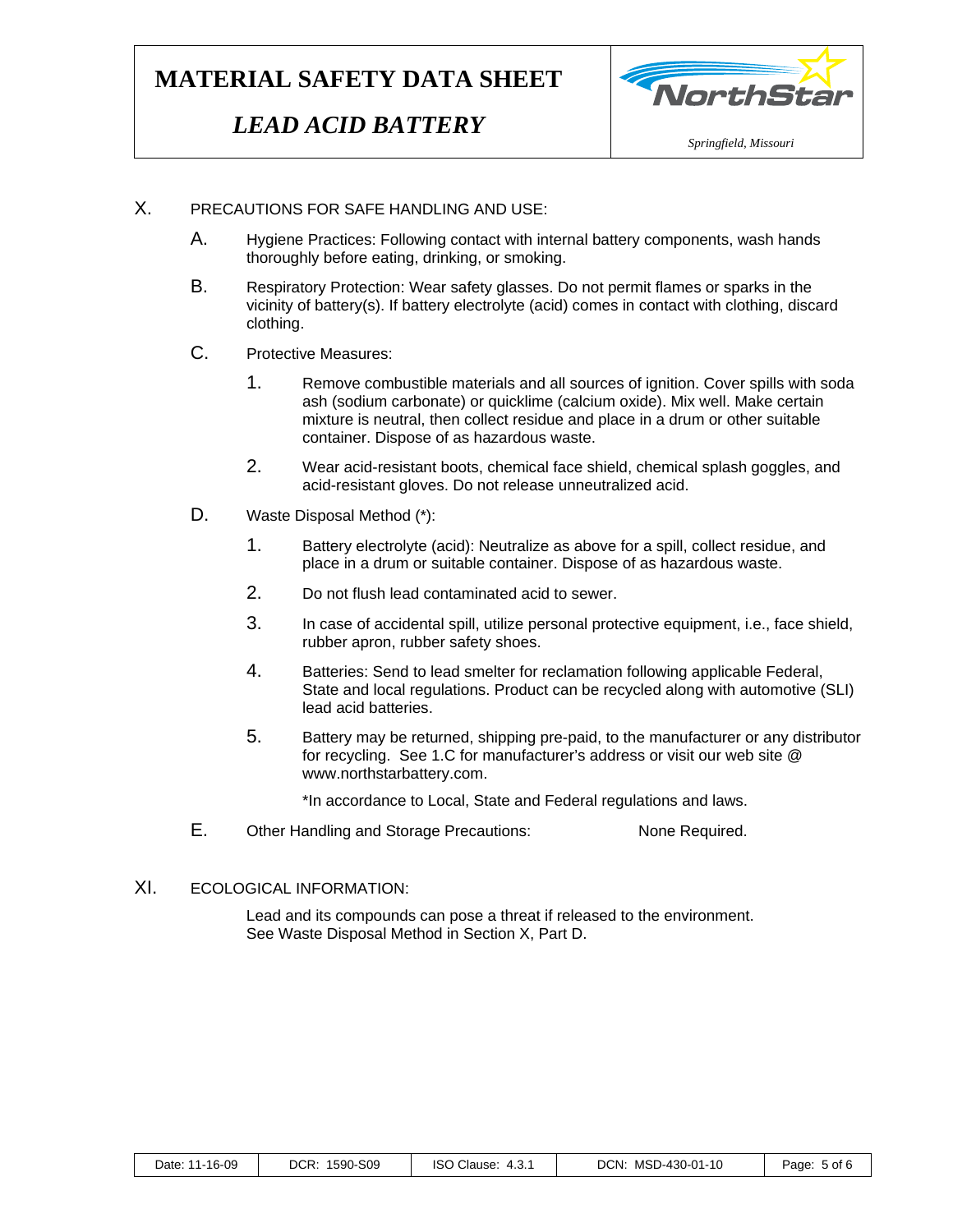## *LEAD ACID BATTERY*



#### X. PRECAUTIONS FOR SAFE HANDLING AND USE:

- A. Hygiene Practices: Following contact with internal battery components, wash hands thoroughly before eating, drinking, or smoking.
- B. Respiratory Protection: Wear safety glasses. Do not permit flames or sparks in the vicinity of battery(s). If battery electrolyte (acid) comes in contact with clothing, discard clothing.
- C. Protective Measures:
	- 1. Remove combustible materials and all sources of ignition. Cover spills with soda ash (sodium carbonate) or quicklime (calcium oxide). Mix well. Make certain mixture is neutral, then collect residue and place in a drum or other suitable container. Dispose of as hazardous waste.
	- 2. Wear acid-resistant boots, chemical face shield, chemical splash goggles, and acid-resistant gloves. Do not release unneutralized acid.
- D. Waste Disposal Method (\*):
	- 1. Battery electrolyte (acid): Neutralize as above for a spill, collect residue, and place in a drum or suitable container. Dispose of as hazardous waste.
	- 2. Do not flush lead contaminated acid to sewer.
	- 3. In case of accidental spill, utilize personal protective equipment, i.e., face shield, rubber apron, rubber safety shoes.
	- 4. Batteries: Send to lead smelter for reclamation following applicable Federal, State and local regulations. Product can be recycled along with automotive (SLI) lead acid batteries.
	- 5. Battery may be returned, shipping pre-paid, to the manufacturer or any distributor for recycling. See 1.C for manufacturer's address or visit our web site @ www.northstarbattery.com.

\*In accordance to Local, State and Federal regulations and laws.

E. Other Handling and Storage Precautions: None Required.

#### XI. ECOLOGICAL INFORMATION:

Lead and its compounds can pose a threat if released to the environment. See Waste Disposal Method in Section X, Part D.

| Date: 11-16-09 | DCR: 1590-S09 | ISO Clause: 4.3.1 | DCN: MSD-430-01-10 | Page: 5 of 6 |
|----------------|---------------|-------------------|--------------------|--------------|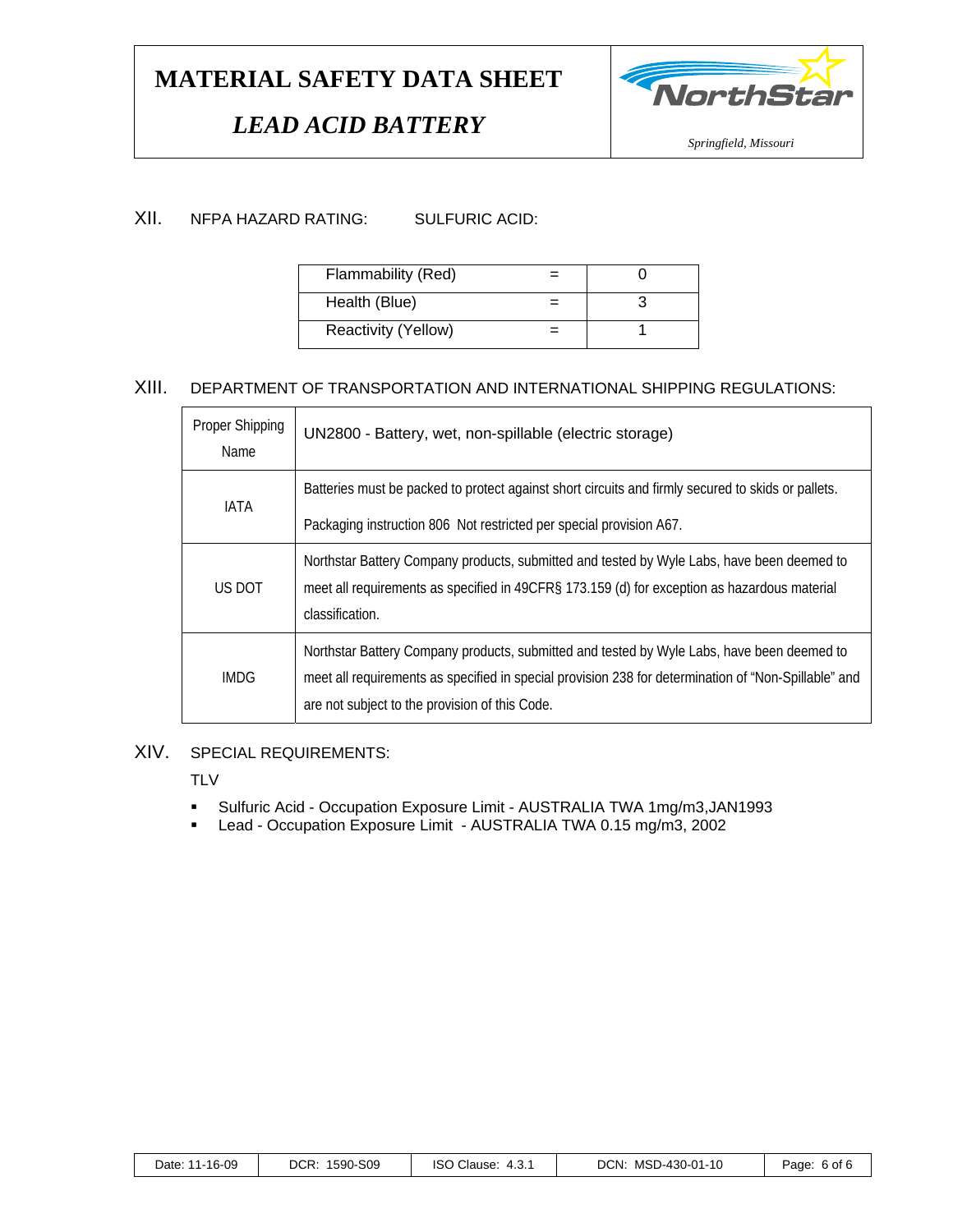# *LEAD ACID BATTERY*



#### XII. NFPA HAZARD RATING: SULFURIC ACID:

| Flammability (Red)  |  |
|---------------------|--|
| Health (Blue)       |  |
| Reactivity (Yellow) |  |

### XIII. DEPARTMENT OF TRANSPORTATION AND INTERNATIONAL SHIPPING REGULATIONS:

| <b>Proper Shipping</b><br>Name | UN2800 - Battery, wet, non-spillable (electric storage)                                                                                                                                                                                              |
|--------------------------------|------------------------------------------------------------------------------------------------------------------------------------------------------------------------------------------------------------------------------------------------------|
| <b>IATA</b>                    | Batteries must be packed to protect against short circuits and firmly secured to skids or pallets.<br>Packaging instruction 806 Not restricted per special provision A67.                                                                            |
| US DOT                         | Northstar Battery Company products, submitted and tested by Wyle Labs, have been deemed to<br>meet all requirements as specified in 49CFR§ 173.159 (d) for exception as hazardous material<br>classification.                                        |
| IMDG                           | Northstar Battery Company products, submitted and tested by Wyle Labs, have been deemed to<br>meet all requirements as specified in special provision 238 for determination of "Non-Spillable" and<br>are not subject to the provision of this Code. |

### XIV. SPECIAL REQUIREMENTS:

**TLV** 

- Sulfuric Acid Occupation Exposure Limit AUSTRALIA TWA 1mg/m3,JAN1993
- Lead Occupation Exposure Limit AUSTRALIA TWA 0.15 mg/m3, 2002

| DCN: MSD-430-01-10<br>DCR:<br>1590-S09<br><b>ISO Clause:</b><br>Date: 11-16-09<br>4.3.1<br>Paɑe:<br>6 of 6 |
|------------------------------------------------------------------------------------------------------------|
|------------------------------------------------------------------------------------------------------------|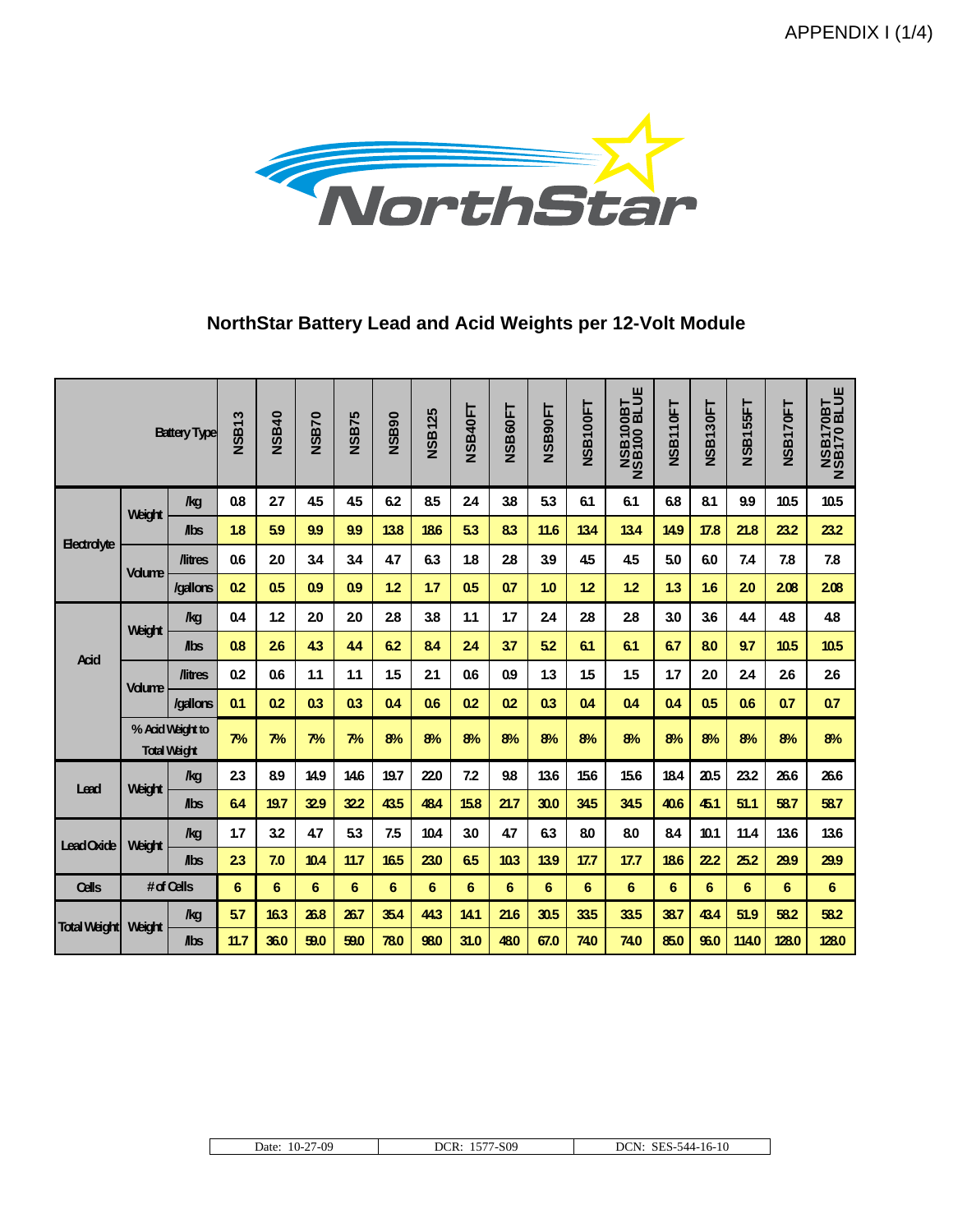APPENDIX I (1/4)



### **NorthStar Battery Lead and Acid Weights per 12-Volt Module**

|                     |               | <b>Battery Type</b>                     | S<br>NSB1 | <b>NSB40</b> | <b>NSB70</b>   | <b>NSB75</b> | <b>NSB90</b>   | <b>NSB125</b> | <b>NSB40FT</b> | <b>NSB60FT</b> | <b>NSB90FT</b> | NSB100FT | <b>NSB100BT<br/>NSB100 BLUE</b> | <b>NSB110FT</b> | NSB130FT | NSB155FT | NSB170FT | <b>NSB170BT</b><br>NSB170 BLUE |
|---------------------|---------------|-----------------------------------------|-----------|--------------|----------------|--------------|----------------|---------------|----------------|----------------|----------------|----------|---------------------------------|-----------------|----------|----------|----------|--------------------------------|
|                     | Weight        | /kg                                     | 0.8       | 27           | 4.5            | 4.5          | 6.2            | 8.5           | 24             | 38             | 5.3            | 61       | 6.1                             | 6.8             | 81       | 9.9      | 10.5     | 10.5                           |
| <b>Electrolyte</b>  |               | $I_{\text{abs}}$                        | 1.8       | 5.9          | 9.9            | 9.9          | 13.8           | 186           | 53             | 83             | 11.6           | 134      | 13.4                            | 14.9            | 17.8     | 21.8     | 23.2     | 23.2                           |
|                     | <b>Volume</b> | <b><i><u>Nitres</u></i></b>             | 0.6       | 20           | 3.4            | 3.4          | 4.7            | 6.3           | 1.8            | 28             | 3.9            | 45       | 4.5                             | 5.0             | 6.0      | 7.4      | 7.8      | 7.8                            |
|                     |               | /gallons                                | 0.2       | 0.5          | 0.9            | 0.9          | 1.2            | 1.7           | 0.5            | 0.7            | 1.0            | 12       | 1.2                             | 1.3             | 1.6      | 20       | 208      | 208                            |
|                     | Weight        | /kg                                     | 0.4       | 1.2          | 20             | 20           | 28             | 3.8           | 1.1            | 1.7            | 24             | 28       | 28                              | 3.0             | 36       | 44       | 48       | 4.8                            |
| <b>Acid</b>         |               | <b>Abs</b>                              | 0.8       | 26           | 4.3            | 44           | 6.2            | 84            | 24             | 37             | 5.2            | 61       | 6.1                             | 6.7             | 80       | 97       | 10.5     | 10.5                           |
|                     | <b>Volume</b> | <b><i><u>Nitres</u></i></b>             | 0.2       | 0.6          | 1.1            | 1.1          | 1.5            | 21            | 0.6            | 0.9            | 1.3            | 1.5      | 1.5                             | 1.7             | 20       | 24       | 26       | 26                             |
|                     |               | /gallons                                | 0.1       | 0.2          | 0 <sub>3</sub> | 0.3          | 0.4            | 0.6           | 0.2            | 0.2            | 0.3            | 0.4      | 0.4                             | 0.4             | 0.5      | 0.6      | 0.7      | 0.7                            |
|                     |               | % Acid Weight to<br><b>Total Waight</b> | 7%        | 7%           | 7%             | 7%           | 8%             | 8%            | 8%             | 8%             | 8%             | 8%       | 8%                              | 8%              | 8%       | 8%       | 8%       | 8%                             |
| Lead                | Weight        | $\log$                                  | 23        | 8.9          | 14.9           | 146          | 19.7           | 220           | 7.2            | 9.8            | 136            | 156      | 15.6                            | 18.4            | 20.5     | 23.2     | 26.6     | 26.6                           |
|                     |               | $I_{\text{abs}}$                        | 64        | 19.7         | 329            | 322          | 43.5           | 484           | 15.8           | 21.7           | 30.0           | 345      | 34.5                            | 40.6            | 45.1     | 51.1     | 58.7     | 587                            |
| Lead Oxide          | Weight        | $\log$                                  | 1.7       | 3.2          | 47             | 5.3          | 7.5            | 10.4          | 3.0            | 4.7            | 6.3            | 80       | 8.0                             | 8.4             | 10.1     | 11.4     | 13.6     | 136                            |
|                     |               | $I_{\text{abs}}$                        | 23        | 7.0          | 10.4           | $11.7$       | 16.5           | 23.0          | 6.5            | 103            | 13.9           | 17.7     | 17.7                            | 18.6            | 222      | 25.2     | 29.9     | 29.9                           |
| Cells               |               | #df Cells                               | 6         | 6            | $6\phantom{1}$ | 6            | $6\phantom{1}$ | 6             | 6              | 6              | 6              | 6        | $6\phantom{1}$                  | 6               | 6        | 6        | 6        | 6                              |
| <b>Total Weight</b> | <b>Weight</b> | /kg                                     | 5.7       | 16.3         | 26.8           | 26.7         | 35.4           | 44.3          | 14.1           | 21.6           | 30.5           | 335      | 33.5                            | 38.7            | 434      | 51.9     | 58.2     | 58.2                           |
|                     |               | $I_{\text{abs}}$                        | 11.7      | 36.0         | 59.0           | 59.0         | 78.0           | 98.0          | 31.0           | 480            | 67.0           | 740      | 74.0                            | 85.0            | 96.0     | 114.0    | 128.0    | 128.0                          |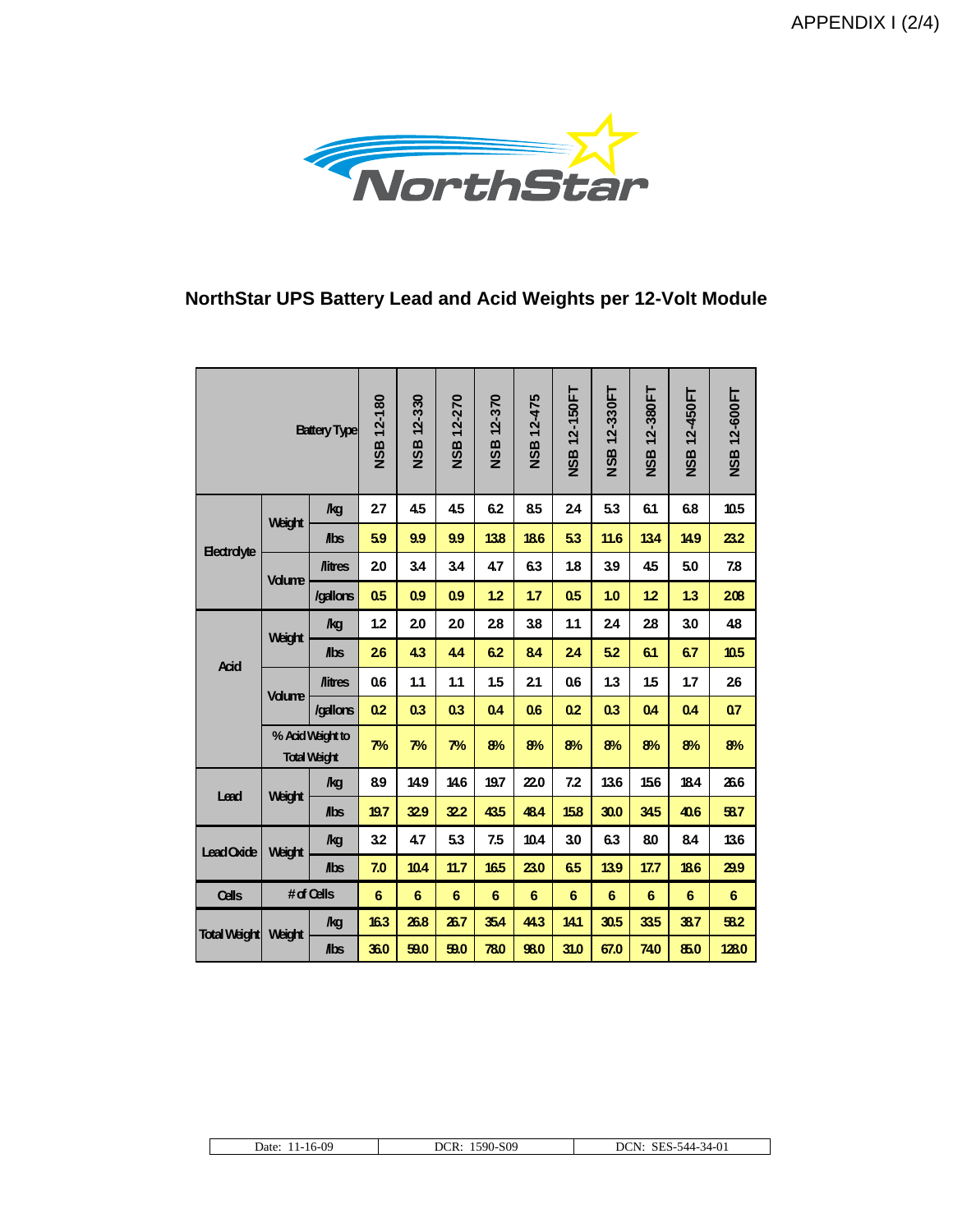APPENDIX I (2/4)



### **NorthStar UPS Battery Lead and Acid Weights per 12-Volt Module**

| <b>Battery Type</b> |                                         | <b>NSB 12-180</b>           | <b>NSB 12-330</b> | <b>NSB 12-270</b> | <b>NSB 12-370</b> | <b>NSB 12-475</b> | NSB 12-150FT   | NSB 12-330FT   | 12-380FT<br><b>ASB</b> | NSB 12-450FT    | NSB 12-600FT    |                |
|---------------------|-----------------------------------------|-----------------------------|-------------------|-------------------|-------------------|-------------------|----------------|----------------|------------------------|-----------------|-----------------|----------------|
|                     |                                         | /kg                         | 27                | 4.5               | 4.5               | 6.2               | 8.5            | 24             | 53                     | 6.1             | 6.8             | 10.5           |
|                     | Weight                                  | <b>Abs</b>                  | 5.9               | 9.9               | 9.9               | 138               | 186            | 53             | 11.6                   | 134             | 14.9            | 23.2           |
| <b>Electrolyte</b>  |                                         | <b><i><u>Nitres</u></i></b> | 20                | 3.4               | 3.4               | 4.7               | 6.3            | 1.8            | 3.9                    | 45              | 5.0             | 7.8            |
|                     | <b>Vdume</b>                            | /gallons                    | 0.5               | 0.9               | 0.9               | 1.2               | 1.7            | 0.5            | 1.0                    | 12              | 1.3             | 208            |
|                     |                                         | <b>kg</b>                   | 1.2               | 20                | 20                | 28                | 3.8            | 1.1            | 24                     | 28              | 3.0             | 48             |
| Acid                | Weight                                  | <b>Abs</b>                  | 26                | 4.3               | 4.4               | 6.2               | 84             | 24             | 5.2                    | 61              | 6.7             | 10.5           |
|                     | <b>Vdume</b>                            | <b>/litres</b>              | 0.6               | 1.1               | 1.1               | 1.5               | 21             | 0.6            | 1.3                    | 15              | 1.7             | 26             |
|                     |                                         | /gallons                    | 0.2               | 0.3               | 0.3               | 0.4               | 0.6            | 0.2            | 0 <sub>3</sub>         | 0.4             | 0.4             | 07             |
|                     | % Acid Weight to<br><b>Total Weight</b> |                             | 7%                | 7%                | 7%                | 8%                | 8%             | 8%             | 8%                     | 8%              | 8%              | 8%             |
| Lead                | Weight                                  | /kg                         | 89                | 14.9              | 14.6              | 19.7              | 22.0           | 7.2            | 13.6                   | 156             | 18.4            | 26.6           |
|                     |                                         | <b>Abs</b>                  | 19.7              | 32.9              | 32.2              | 435               | 48.4           | 158            | 30.0                   | 345             | 40.6            | 58.7           |
| <b>Lead Oxide</b>   | Weight                                  | <b>kg</b>                   | 3.2               | 4.7               | 5.3               | 7.5               | 10.4           | 3.0            | 6.3                    | 80              | 8.4             | 13.6           |
|                     |                                         | <b>Abs</b>                  | 7.0               | 10.4              | 11.7              | 16.5              | 23.0           | 6.5            | 13.9                   | 17.7            | 186             | 29.9           |
| Cells               | # of Cells                              |                             | 6                 | $6\phantom{1}6$   | $6\phantom{1}6$   | 6                 | $6\phantom{1}$ | $6\phantom{1}$ | 6                      | $6\phantom{1}6$ | $6\phantom{1}6$ | $6\phantom{1}$ |
| <b>Total Weight</b> | Weight                                  | <b>kg</b>                   | 16.3              | 26.8              | 26.7              | 354               | 44.3           | 14.1           | 30.5                   | 335             | 38.7            | 53.2           |
|                     |                                         | <b>Abs</b>                  | 36.0              | 59.0              | 59.0              | 780               | 98.0           | 31.0           | 67.0                   | 740             | 85.0            | 128.0          |

| 11-16-09<br>Date:<br>. . | 1590-S09<br>DCR: | SES-544-34-01<br>DCN: |
|--------------------------|------------------|-----------------------|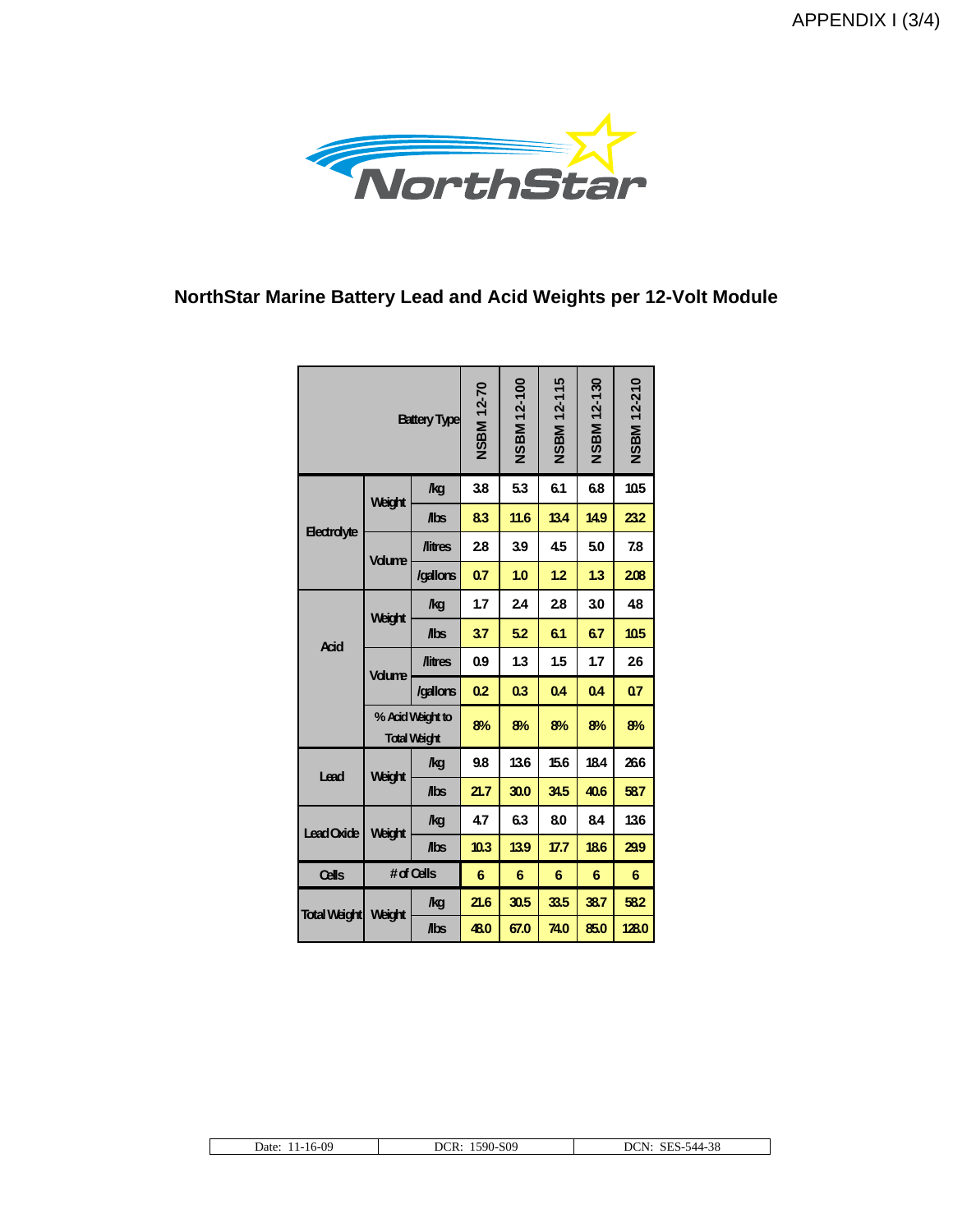APPENDIX I (3/4)



### **NorthStar Marine Battery Lead and Acid Weights per 12-Volt Module**

| <b>Battery Type</b> |                                         |                             | <b>NSBM 12-70</b> | <b>NSBM 12-100</b> | <b>NSBM 12-115</b> | <b>NSBM 12-130</b> | <b>NSBM 12-210</b> |
|---------------------|-----------------------------------------|-----------------------------|-------------------|--------------------|--------------------|--------------------|--------------------|
|                     |                                         | <b>kg</b>                   | 3.8               | 5.3                | 6.1                | 6.8                | 10.5               |
| <b>Electrolyte</b>  | Weight                                  | <b>Abs</b>                  | 83                | 11.6               | 13.4               | 14.9               | 232                |
|                     |                                         | <b><i><u>Aitres</u></i></b> | 28                | 3.9                | 4.5                | 5.0                | 7.8                |
|                     | <b>Vdume</b>                            | /gallons                    | 0.7               | 1.0                | 1.2                | 1.3                | 208                |
|                     |                                         | /kg                         | 1.7               | 24                 | 28                 | 3.0                | 48                 |
| <b>Acid</b>         | Weight                                  | <b>Abs</b>                  | 37                | 5.2                | 6.1                | 6.7                | 10.5               |
|                     | <b>Vdume</b>                            | <b><i><u>Nitres</u></i></b> | 0.9               | 1.3                | 1.5                | 1.7                | 26                 |
|                     |                                         | /gallons                    | 0.2               | 0.3                | 0.4                | 0.4                | 07                 |
|                     | % Acid Weight to<br><b>Total Weight</b> |                             | 8%                | 8%                 | 8%                 | 8%                 | 8%                 |
| Lead                | Weight                                  | <b>kg</b>                   | 9.8               | 13.6               | 15.6               | 18.4               | 266                |
|                     |                                         | <b>Abs</b>                  | 21.7              | 30.0               | 34.5               | 40.6               | 587                |
| Lead Oxide          | Weight                                  | /kg                         | 47                | 6.3                | 80                 | 84                 | 136                |
|                     |                                         | <b>Abs</b>                  | 10.3              | 13.9               | 17.7               | 18.6               | 299                |
| Cells               | $#$ of Cells                            |                             | 6                 | 6                  | 6                  | 6                  | 6                  |
| <b>Total Weight</b> | Weight                                  | /kg                         | 21.6              | 30.5               | 33.5               | 38.7               | 582                |
|                     |                                         | Abs                         | 48.0              | 67.0               | 74.0               | 85.0               | 128.0              |

|--|